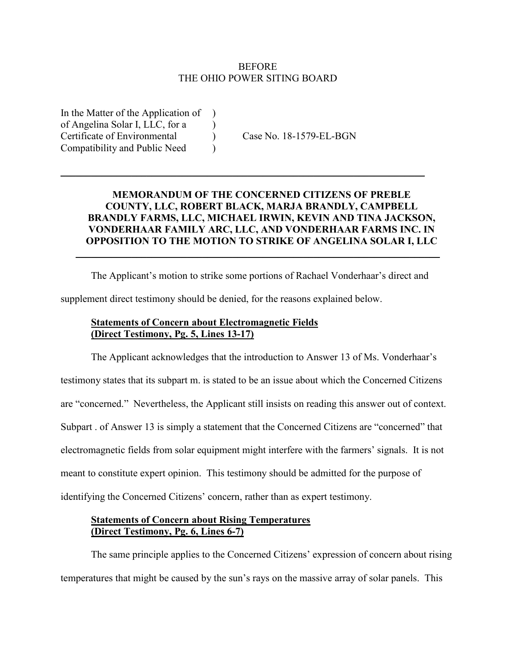#### **BEFORE** THE OHIO POWER SITING BOARD

In the Matter of the Application of ) of Angelina Solar I, LLC, for a ) Certificate of Environmental ) Case No. 18-1579-EL-BGN Compatibility and Public Need )

## **MEMORANDUM OF THE CONCERNED CITIZENS OF PREBLE COUNTY, LLC, ROBERT BLACK, MARJA BRANDLY, CAMPBELL BRANDLY FARMS, LLC, MICHAEL IRWIN, KEVIN AND TINA JACKSON, VONDERHAAR FAMILY ARC, LLC, AND VONDERHAAR FARMS INC. IN OPPOSITION TO THE MOTION TO STRIKE OF ANGELINA SOLAR I, LLC**

 $\mathcal{L}_\text{max} = \mathcal{L}_\text{max} = \mathcal{L}_\text{max} = \mathcal{L}_\text{max} = \mathcal{L}_\text{max} = \mathcal{L}_\text{max} = \mathcal{L}_\text{max} = \mathcal{L}_\text{max} = \mathcal{L}_\text{max} = \mathcal{L}_\text{max} = \mathcal{L}_\text{max} = \mathcal{L}_\text{max} = \mathcal{L}_\text{max} = \mathcal{L}_\text{max} = \mathcal{L}_\text{max} = \mathcal{L}_\text{max} = \mathcal{L}_\text{max} = \mathcal{L}_\text{max} = \mathcal{$ 

The Applicant's motion to strike some portions of Rachael Vonderhaar's direct and

 $\overline{\phantom{a}}$  , and the contribution of the contribution of the contribution of the contribution of the contribution of the contribution of the contribution of the contribution of the contribution of the contribution of the

supplement direct testimony should be denied, for the reasons explained below.

### **Statements of Concern about Electromagnetic Fields (Direct Testimony, Pg. 5, Lines 13-17)**

The Applicant acknowledges that the introduction to Answer 13 of Ms. Vonderhaar's testimony states that its subpart m. is stated to be an issue about which the Concerned Citizens are "concerned." Nevertheless, the Applicant still insists on reading this answer out of context. Subpart . of Answer 13 is simply a statement that the Concerned Citizens are "concerned" that electromagnetic fields from solar equipment might interfere with the farmers' signals. It is not meant to constitute expert opinion. This testimony should be admitted for the purpose of identifying the Concerned Citizens' concern, rather than as expert testimony.

### **Statements of Concern about Rising Temperatures (Direct Testimony, Pg. 6, Lines 6-7)**

The same principle applies to the Concerned Citizens' expression of concern about rising temperatures that might be caused by the sun's rays on the massive array of solar panels. This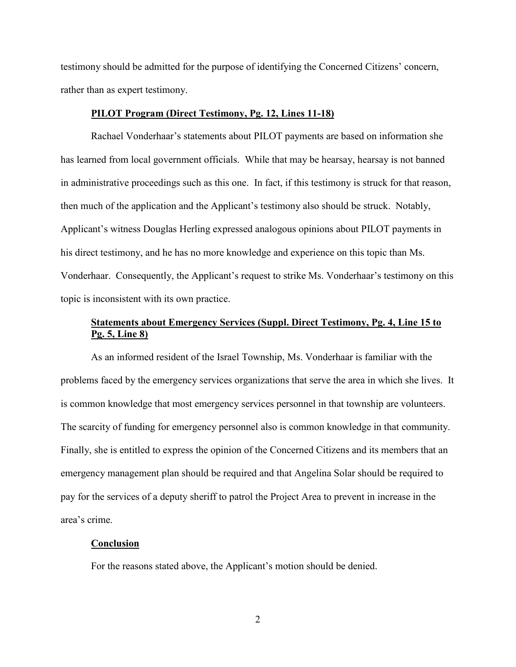testimony should be admitted for the purpose of identifying the Concerned Citizens' concern, rather than as expert testimony.

#### **PILOT Program (Direct Testimony, Pg. 12, Lines 11-18)**

Rachael Vonderhaar's statements about PILOT payments are based on information she has learned from local government officials. While that may be hearsay, hearsay is not banned in administrative proceedings such as this one. In fact, if this testimony is struck for that reason, then much of the application and the Applicant's testimony also should be struck. Notably, Applicant's witness Douglas Herling expressed analogous opinions about PILOT payments in his direct testimony, and he has no more knowledge and experience on this topic than Ms. Vonderhaar. Consequently, the Applicant's request to strike Ms. Vonderhaar's testimony on this topic is inconsistent with its own practice.

## **Statements about Emergency Services (Suppl. Direct Testimony, Pg. 4, Line 15 to Pg. 5, Line 8)**

As an informed resident of the Israel Township, Ms. Vonderhaar is familiar with the problems faced by the emergency services organizations that serve the area in which she lives. It is common knowledge that most emergency services personnel in that township are volunteers. The scarcity of funding for emergency personnel also is common knowledge in that community. Finally, she is entitled to express the opinion of the Concerned Citizens and its members that an emergency management plan should be required and that Angelina Solar should be required to pay for the services of a deputy sheriff to patrol the Project Area to prevent in increase in the area's crime.

#### **Conclusion**

For the reasons stated above, the Applicant's motion should be denied.

2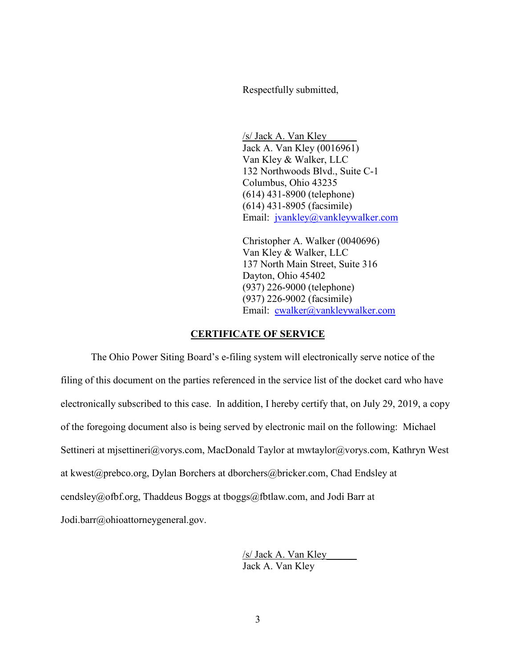Respectfully submitted,

/s/ Jack A. Van Kley\_\_\_\_\_\_ Jack A. Van Kley (0016961) Van Kley & Walker, LLC 132 Northwoods Blvd., Suite C-1 Columbus, Ohio 43235 (614) 431-8900 (telephone) (614) 431-8905 (facsimile) Email: jvankley@vankleywalker.com

Christopher A. Walker (0040696) Van Kley & Walker, LLC 137 North Main Street, Suite 316 Dayton, Ohio 45402 (937) 226-9000 (telephone) (937) 226-9002 (facsimile) Email: cwalker@vankleywalker.com

#### **CERTIFICATE OF SERVICE**

The Ohio Power Siting Board's e-filing system will electronically serve notice of the filing of this document on the parties referenced in the service list of the docket card who have electronically subscribed to this case. In addition, I hereby certify that, on July 29, 2019, a copy of the foregoing document also is being served by electronic mail on the following: Michael Settineri at mjsettineri@vorys.com, MacDonald Taylor at mwtaylor@vorys.com, Kathryn West at kwest@prebco.org, Dylan Borchers at dborchers@bricker.com, Chad Endsley at cendsley@ofbf.org, Thaddeus Boggs at tboggs@fbtlaw.com, and Jodi Barr at Jodi.barr@ohioattorneygeneral.gov.

> /s/ Jack A. Van Kley\_\_\_\_\_\_ Jack A. Van Kley